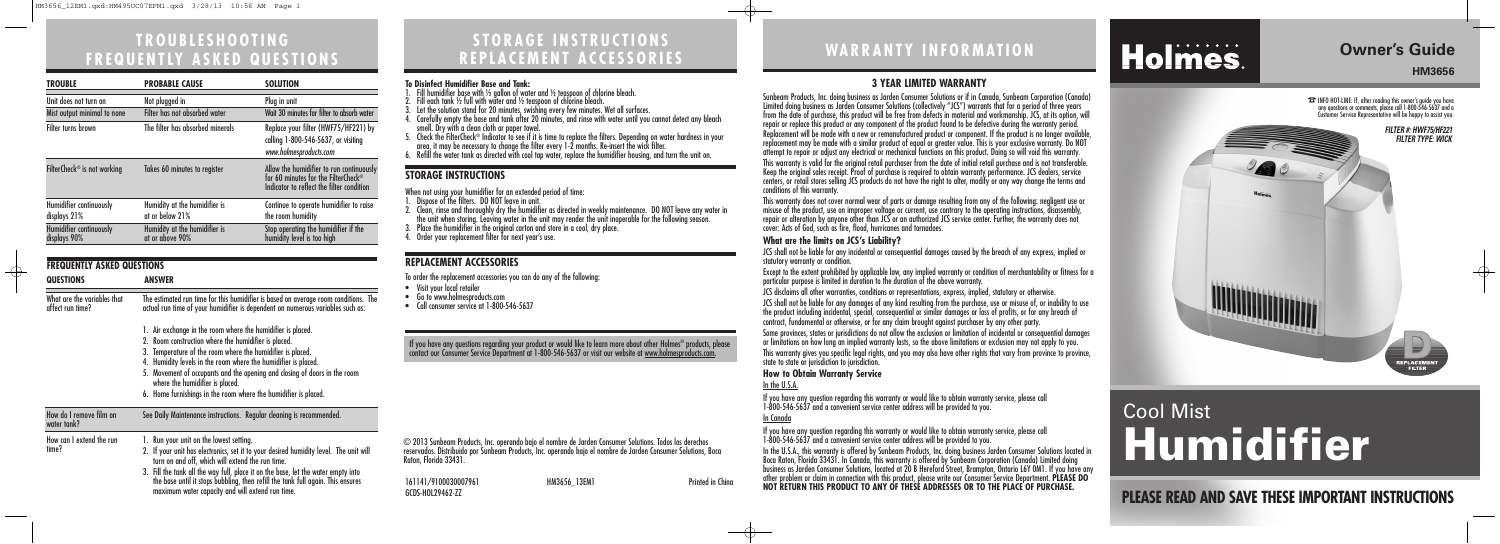# **STORAGE INSTRUCTIONS REPLACEMENT ACCESSORIES**

**PLEASE READ AND SAVE THESE IMPORTANT INSTRUCTIONS**

# **WARRANTY INFORMATION**

© 2013 Sunbeam Products, Inc. operando bajo el nombre de Jarden Consumer Solutions. Todos los derechos reservados. Distribuido por Sunbeam Products, Inc. operando bajo el nombre de Jarden Consumer Solutions, Boca Raton, Florida 33431.

#### **3 YEAR LIMITED WARRANTY**

Sunbeam Products, Inc. doing business as Jarden Consumer Solutions or if in Canada, Sunbeam Corporation (Canada) Limited doing business as Jarden Consumer Solutions (collectively "JCS") warrants that for a period of three years from the date of purchase, this product will be free from defects in material and workmanship. JCS, at its option, will repair or replace this product or any component of the product found to be defective during the warranty period. Replacement will be made with a new or remanufactured product or component. If the product is no longer available, replacement may be made with a similar product of equal or greater value. This is your exclusive warranty. Do NOT attempt to repair or adjust any electrical or mechanical functions on this product. Doing so will void this warranty.

This warranty is valid for the original retail purchaser from the date of initial retail purchase and is not transferable. Keep the original sales receipt. Proof of purchase is required to obtain warranty performance. JCS dealers, service centers, or retail stores selling JCS products do not have the right to alter, modify or any way change the terms and

Some provinces, states or jurisdictions do not allow the exclusion or limitation of incidental or consequential damages or limitations on how long an implied warranty lasts, so the above limitations or exclusion may not apply to you. This warranty gives you specific legal rights, and you may also have other rights that vary from province to province, state to state or jurisdiction to jurisdiction.

conditions of this warranty.

If you have any question regarding this warranty or would like to obtain warranty service, please call 1-800-546-5637 and a convenient service center address will be provided to you. In the U.S.A., this warranty is offered by Sunbeam Products, Inc. doing business Jarden Consumer Solutions located in Boca Raton, Florida 33431. In Canada, this warranty is offered by Sunbeam Corporation (Canada) Limited doing business as Jarden Consumer Solutions, located at 20 B Hereford Street, Brampton, Ontario L6Y 0M1. If you have any 161141/9100030007961 HM3656\_13EM1 other problem or claim in connection with this product, please write our Consumer Service Department. **PLEASE DO**<br>CCDS HOLDRAGE 77

This warranty does not cover normal wear of parts or damage resulting from any of the following: negligent use or misuse of the product, use on improper voltage or current, use contrary to the operating instructions, disassembly, repair or alteration by anyone other than JCS or an authorized JCS service center. Further, the warranty does not cover: Acts of God, such as fire, flood, hurricanes and tornadoes.

#### **What are the limits on JCS's Liability?**

JCS shall not be liable for any incidental or consequential damages caused by the breach of any express, implied or

statutory warranty or condition.

Except to the extent prohibited by applicable law, any implied warranty or condition of merchantability or fitness for a particular purpose is limited in duration to the duration of the above warranty.

JCS disclaims all other warranties, conditions or representations, express, implied, statutory or otherwise.

JCS shall not be liable for any damages of any kind resulting from the purchase, use or misuse of, or inability to use the product including incidental, special, consequential or similar damages or loss of profits, or for any breach of contract, fundamental or otherwise, or for any claim brought against purchaser by any other party.

#### **How to Obtain Warranty Service**

In the U.S.A.

If you have any question regarding this warranty or would like to obtain warranty service, please call 1-800-546-5637 and a convenient service center address will be provided to you.

# Holmes.

- 1. Fill humidifier base with ½ gallon of water and ½ teaspoon of chlorine bleach.
- Fill each tank  $\frac{1}{2}$  full with water and  $\frac{1}{2}$  teaspoon of chlorine bleach.
- 3. Let the solution stand for 20 minutes, swishing every few minutes. Wet all surfaces.
- 
- 4. Carefully empty the base and tank after 20 minutes, and rinse with water until you cannot detect any bleach<br>5. Check the FilterCheck® Indicator to see if it is time to replace the filters. Depending on water hardness in
- 

In Canada

If you have any questions regarding your product or would like to learn more about other Holmes® products, please contact our Consumer Service Department at 1-800-546-5637 or visit our website at <u>www.holmesproducts.com</u>.

GCDS-HOL29462-ZZ

## **Owner's Guide HM3656**

 $\oplus$ 

# **TROUBLESHOOTING FREQUENTLY ASKED QUESTIONS**

# Cool Mist **Humidifier**

### **REPLACEMENT ACCESSORIES**

To order the replacement accessories you can do any of the following:

- Visit your local retailer
- Go to www.holmesproducts.com
- Call consumer service at 1-800-546-5637

| <b>FREQUENTLY ASKED QUESTIONS</b>               |                                                                                                                                                                                                                          |  |
|-------------------------------------------------|--------------------------------------------------------------------------------------------------------------------------------------------------------------------------------------------------------------------------|--|
| <b>QUESTIONS</b>                                | <b>ANSWER</b>                                                                                                                                                                                                            |  |
| What are the variables that<br>affect run time? | The estimated run time for this humidifier is based on average room conditions. The<br>actual run time of your humidifier is dependent on numerous variables such as:                                                    |  |
|                                                 | 1. Air exchange in the room where the humidifier is placed.                                                                                                                                                              |  |
|                                                 | 2. Room construction where the humidifier is placed.                                                                                                                                                                     |  |
|                                                 | 3. Temperature of the room where the humidifier is placed.                                                                                                                                                               |  |
|                                                 | Humidity levels in the room where the humidifier is placed.<br>4.                                                                                                                                                        |  |
|                                                 | 5. Movement of occupants and the opening and closing of doors in the room<br>where the humidifier is placed.                                                                                                             |  |
|                                                 | 6. Home furnishings in the room where the humidifier is placed.                                                                                                                                                          |  |
| How do I remove film on<br>water tank?          | See Daily Maintenance instructions. Regular cleaning is recommended.                                                                                                                                                     |  |
| How can I extend the run<br>time?               | 1. Run your unit on the lowest setting.                                                                                                                                                                                  |  |
|                                                 | 2. If your unit has electronics, set it to your desired humidity level. The unit will<br>turn on and off, which will extend the run time.                                                                                |  |
|                                                 | 3. Fill the tank all the way full, place it on the base, let the water empty into<br>the base until it stops bubbling, then refill the tank full again. This ensures<br>maximum water capacity and will extend run time. |  |

☎INFO HOT-LINE: If, after reading this owner's guide you have any questions or comments, please call 1-800-546-5637 and a Customer Service Representative will be happy to assist you.



| <b>TROUBLE</b>                          | <b>PROBABLE CAUSE</b>                            | <b>SOLUTION</b>                                                                                                              |
|-----------------------------------------|--------------------------------------------------|------------------------------------------------------------------------------------------------------------------------------|
| Unit does not turn on                   | Not plugged in                                   | Plug in unit                                                                                                                 |
| Mist output minimal to none             | Filter has not absorbed water                    | Wait 30 minutes for filter to absorb water                                                                                   |
| Filter turns brown                      | The filter has absorbed minerals                 | Replace your filter (HWF75/HF221) by<br>calling 1-800-546-5637, or visiting<br>www.holmesproducts.com                        |
| FilterCheck <sup>®</sup> is not working | Takes 60 minutes to register                     | Allow the humidifier to run continuously<br>for 60 minutes for the FilterCheck®<br>Indicator to reflect the filter condition |
| Humidifier continuously<br>displays 21% | Humidity at the humidifier is<br>at or below 21% | Continue to operate humidifier to raise<br>the room humidity                                                                 |
| Humidifier continuously<br>displays 90% | Humidity at the humidifier is<br>at or above 90% | Stop operating the humidifier if the<br>humidity level is too high                                                           |

#### **To Disinfect Humidifier Base and Tank:**

#### **STORAGE INSTRUCTIONS**

When not using your humidifier for an extended period of time:

- 1. Dispose of the filters. DO NOT leave in unit.
- 2. Clean, rinse and thoroughly dry the humidifier as directed in weekly maintenance. DO NOT leave any water in the unit when storing. Leaving water in the unit may render the unit inoperable for the following season.
- Place the humidifier in the original carton and store in a cool, dry place.
- 4. Order your replacement filter for next year's use.

 $\oplus$